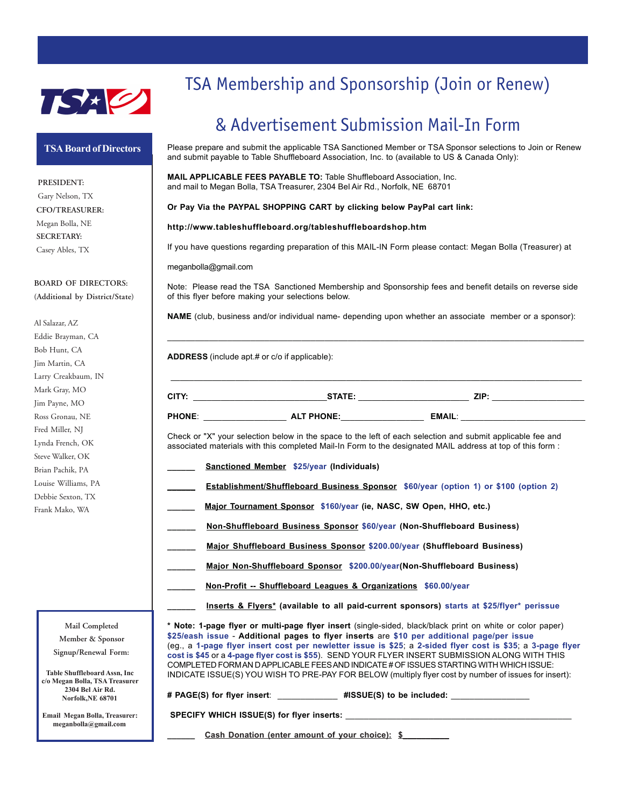

### **TSA Board of Directors**

**PRESIDENT:** Gary Nelson, TX **CFO/TREASURER:** Megan Bolla, NE **SECRETARY:** Casey Ables, TX

**BOARD OF DIRECTORS: (Additional by District/State)**

Al Salazar, AZ Eddie Brayman, CA Bob Hunt, CA Jim Martin, CA Larry Creakbaum, IN Mark Gray, MO Jim Payne, MO Ross Gronau, NE Fred Miller, NJ Lynda French, OK Steve Walker, OK Brian Pachik, PA Louise Williams, PA Debbie Sexton, TX Frank Mako, WA

# TSA Membership and Sponsorship (Join or Renew)

## & Advertisement Submission Mail-In Form

Please prepare and submit the applicable TSA Sanctioned Member or TSA Sponsor selections to Join or Renew and submit payable to Table Shuffleboard Association, Inc. to (available to US & Canada Only):

**MAIL APPLICABLE FEES PAYABLE TO:** Table Shuffleboard Association, Inc. and mail to Megan Bolla, TSA Treasurer, 2304 Bel Air Rd., Norfolk, NE 68701

**Or Pay Via the PAYPAL SHOPPING CART by clicking below PayPal cart link:**

#### **http://www.tableshuffleboard.org/tableshuffleboardshop.htm**

If you have questions regarding preparation of this MAIL-IN Form please contact: Megan Bolla (Treasurer) at

meganbolla@gmail.com

Note: Please read the TSA Sanctioned Membership and Sponsorship fees and benefit details on reverse side of this flyer before making your selections below.

**NAME** (club, business and/or individual name- depending upon whether an associate member or a sponsor):

 $\mathcal{L}_\mathcal{L} = \{ \mathcal{L}_\mathcal{L} = \{ \mathcal{L}_\mathcal{L} = \{ \mathcal{L}_\mathcal{L} = \{ \mathcal{L}_\mathcal{L} = \{ \mathcal{L}_\mathcal{L} = \{ \mathcal{L}_\mathcal{L} = \{ \mathcal{L}_\mathcal{L} = \{ \mathcal{L}_\mathcal{L} = \{ \mathcal{L}_\mathcal{L} = \{ \mathcal{L}_\mathcal{L} = \{ \mathcal{L}_\mathcal{L} = \{ \mathcal{L}_\mathcal{L} = \{ \mathcal{L}_\mathcal{L} = \{ \mathcal{L}_\mathcal{$ 

**ADDRESS** (include apt.# or c/o if applicable):

| CITY:         | <b>STATE:</b>     |               | ZIP |
|---------------|-------------------|---------------|-----|
| <b>PHONE:</b> | <b>ALT PHONE:</b> | <b>EMAIL:</b> |     |

\_\_\_\_\_\_\_\_\_\_\_\_\_\_\_\_\_\_\_\_\_\_\_\_\_\_\_\_\_\_\_\_\_\_\_\_\_\_\_\_\_\_\_\_\_\_\_\_\_\_\_\_\_\_\_\_\_\_\_\_\_\_\_\_\_\_\_\_\_\_\_\_\_\_\_\_\_\_\_\_\_\_\_\_\_\_\_\_\_

Check or "X" your selection below in the space to the left of each selection and submit applicable fee and associated materials with this completed Mail-In Form to the designated MAIL address at top of this form :

**\_\_\_\_\_\_ Sanctioned Member \$25/year (Individuals)**

**\_\_\_\_\_\_ Establishment/Shuffleboard Business Sponsor \$60/year (option 1) or \$100 (option 2)**

Major Tournament Sponsor \$160/year (ie, NASC, SW Open, HHO, etc.)

**\_\_\_\_\_\_ Non-Shuffleboard Business Sponsor \$60/year (Non-Shuffleboard Business)**

**\_\_\_\_\_\_ Major Shuffleboard Business Sponsor \$200.00/year (Shuffleboard Business)**

**\_\_\_\_\_\_ Major Non-Shuffleboard Sponsor \$200.00/year(Non-Shuffleboard Business)**

**\_\_\_\_\_\_ Non-Profit -- Shuffleboard Leagues & Organizations \$60.00/year**

**\_\_\_\_\_\_ Inserts & Flyers\* (available to all paid-current sponsors) starts at \$25/flyer\* perissue**

**Mail Completed**

**Member & Sponsor Signup/Renewal Form:**

**Table Shuffleboard Assn, Inc c/o Megan Bolla, TSA Treasurer 2304 Bel Air Rd. Norfolk,NE 68701**

**Email Megan Bolla, Treasurer: meganbolla@gmail.com**

**\* Note: 1-page flyer or multi-page flyer insert** (single-sided, black/black print on white or color paper) **\$25/eash issue** - **Additional pages to flyer inserts** are **\$10 per additional page/per issue** (eg., a **1-page flyer insert cost per newletter issue is \$25**; a **2-sided flyer cost is \$35**; a **3-page flyer cost is \$45** or a **4-page flyer cost is \$55**). SEND YOUR FLYER INSERT SUBMISSION ALONG WITH THIS COMPLETED FORM AN D APPLICABLE FEES AND INDICATE # OF ISSUES STARTING WITH WHICH ISSUE: INDICATE ISSUE(S) YOU WISH TO PRE-PAY FOR BELOW (multiply flyer cost by number of issues for insert):

**# PAGE(S) for flyer insert**: \_\_\_\_\_\_\_\_\_\_\_\_\_ **#ISSUE(S) to be included:** \_\_\_\_\_\_\_\_\_\_\_\_\_\_\_\_\_

| SPECIFY WHICH ISSUE(S) for flyer inserts: |  |
|-------------------------------------------|--|
|-------------------------------------------|--|

Cash Donation (enter amount of your choice): \$